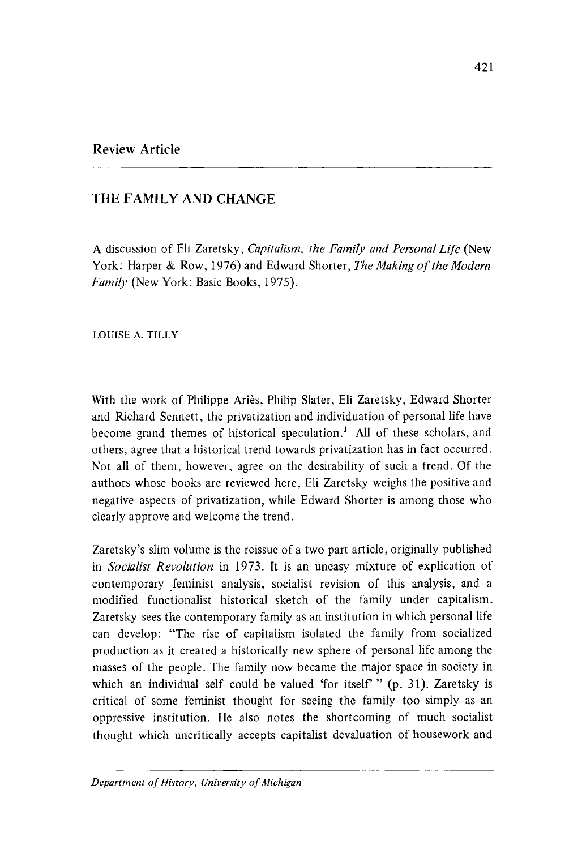## THE FAMILY AND CHANGE

A discussion of Eli Zaretsky, *Capitalism, the Family and Personal Life* (New York: Harper & Row, 1976) and Edward Shorter, *The Making of the Modern Family* (New York: Basic Books, 1975).

LOUISE A. TILLY

With the work of Philippe Ariès, Philip Slater, Eli Zaretsky, Edward Shorter and Richard Sennett, the privatization and individuation of personal life have become grand themes of historical speculation.<sup>1</sup> All of these scholars, and others, agree that a historical trend towards privatization has in fact occurred. Not all of them, however, agree on the desirability of such a trend. Of the authors whose books are reviewed here, Eli Zaretsky weighs the positive and negative aspects of privatization, while Edward Shorter is among those who clearly approve and welcome the trend.

Zaretsky's slim volume is the reissue of a two part article, originally published in *Socialist Revohttion* in 1973. It is an uneasy mixture of explication of contemporary feminist analysis, socialist revision of this analysis, and a modified functionalist historical sketch of the family under capitalism. Zaretsky sees the contemporary family as an institution in which personal life can develop: "The rise of capitalism isolated the family from socialized production as it created a historically new sphere of personal life among the masses of the people. The family now became the major space in society in which an individual self could be valued 'for itself' " (p. 31). Zaretsky is critical of some feminist thought for seeing the family too simply as an oppressive institution. He also notes the shortcoming of much socialist thought which uncritically accepts capitalist devaluation of housework and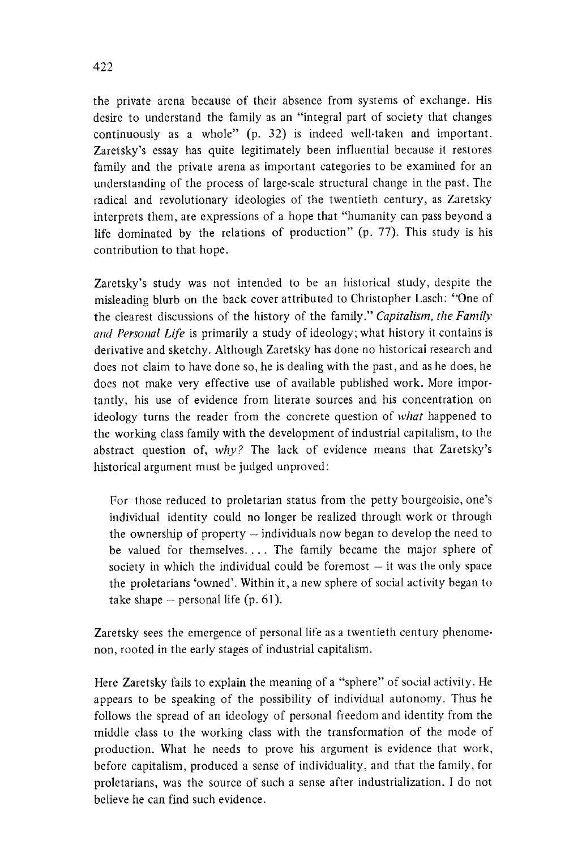the private arena because of their absence from systems of exchange. His desire to understand the family as an "integral part of society that changes continuously as a whole" (p. 32) is indeed well-taken and important. Zaretsky's essay has quite legitimately been influential because it restores family and the private arena as important categories to be examined for an understanding of the process of large-scale structural change in the past. The radical and revolutionary ideologies of the twentieth century, as Zaretsky interprets them, are expressions of a hope that "humanity can pass beyond a life dominated by the relations of production" (p. 77). This study is his contribution to that hope.

Zaretsky's study was not intended to be an historical study, despite the misleading blurb on the back cover attributed to Christopher Lasch: "One of the clearest discussions of the history of the family." *Capitalism, the Family and Personal Life* is primarily a study of ideology; what history it contains is derivative and sketchy. Although Zaretsky has done no historical research and does not claim to have done so, he is dealing with the past, and as he does, he does not make very effective use of available published work. More importantly, his use of evidence from literate sources and his concentration on ideology turns the reader from the concrete question of *what* happened to the working class family with the development of industrial capitalism, to the abstract question of, *why?* The lack of evidence means that Zaretsky's historical argument must be judged unproved:

For those reduced to proletarian status from the petty bourgeoisie, one's individual identity could no longer be realized through work or through the ownership of property  $-$  individuals now began to develop the need to be valued for themselves.... The family became the major sphere of society in which the individual could be foremost  $-$  it was the only space the proletarians 'owned'. Within it, a new sphere of social activity began to take shape  $-$  personal life (p. 61).

Zaretsky sees the emergence of personal life as a twentieth century phenomenon, rooted in the early stages of industrial capitalism.

Here Zaretsky fails to explain the meaning of a "sphere" of social activity. He appears to be speaking of the possibility of individual autonomy. Thus he follows the spread of an ideology of personal freedom and identity from the middle class to the working class with the transformation of the mode of production. What he needs to prove his argument is evidence that work, before capitalism, produced a sense of individuality, and that the family, for proletarians, was the source of such a sense after industrialization. I do not believe he can find such evidence.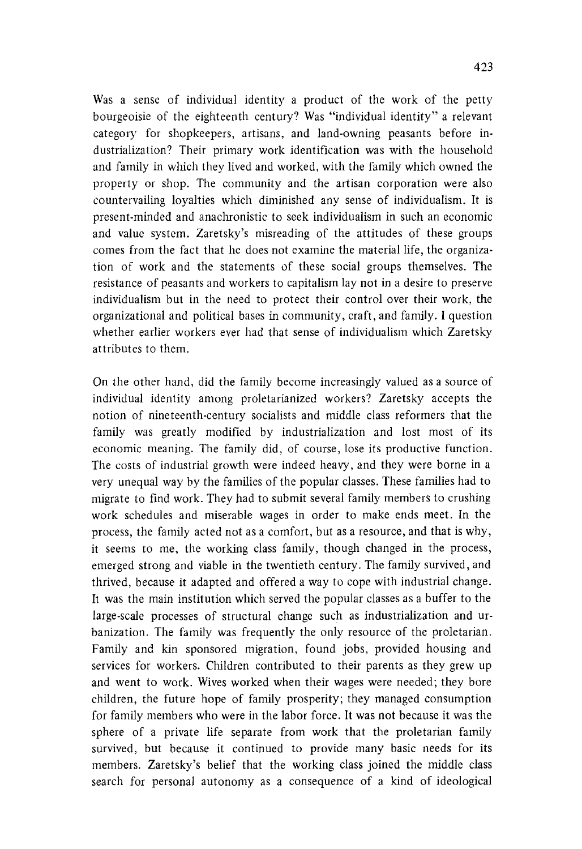Was a sense of individual identity a product of the work of the petty bourgeoisie of the eighteenth century? Was "individual identity" a relevant category for shopkeepers, artisans, and land-owning peasants before industrialization? Their primary work identification was with the household and family in which they lived and worked, with the family which owned the property or shop. The community and the artisan corporation were also countervailing loyalties which diminished any sense of individualism. It is present-minded and anachronistic to seek individualism in such an economic and value system. Zaretsky's misreading of the attitudes of these groups comes from the fact that he does not examine the material life, the organization of work and the statements of these social groups themselves. The resistance of peasants and workers to capitalism lay not in a desire to preserve individualism but in the need to protect their control over their work, the organizational and political bases in community, craft, and family. I question whether earlier workers ever had that sense of individualism which Zaretsky attributes to them.

On the other hand, did the family become increasingly valued as a source of individual identity among proletarianized workers? Zaretsky accepts the notion of nineteenth-century socialists and middle class reformers that the family was greatly modified by industrialization and lost most of its economic meaning. The family did, of course, lose its productive function. The costs of industrial growth were indeed heaw, and they were borne in a very unequal way by the families of the popular classes. These families had to migrate to find work. They had to submit several family members to crushing work schedules and miserable wages in order to make ends meet. In the process, the family acted not as a comfort, but as a resource, and that is why, it seems to me, the working class family, though changed in the process, emerged strong and viable in the twentieth century. The family survived, and thrived, because it adapted and offered a way to cope with industrial change. It was the main institution which served the popular classes as a buffer to the large-scale processes of structural change such as industrialization and urbanization. The family was frequently the only resource of the proletarian. Family and kin sponsored migration, found jobs, provided housing and services for workers. Children contributed to their parents as they grew up and went to work. Wives worked when their wages were needed; they bore children, the future hope of family prosperity; they managed consumption for family members who were in the labor force. It was not because it was the sphere of a private life separate from work that the proletarian family survived, but because it continued to provide many basic needs for its members. Zaretsky's belief that the working class joined the middle class search for personal autonomy as a consequence of a kind of ideological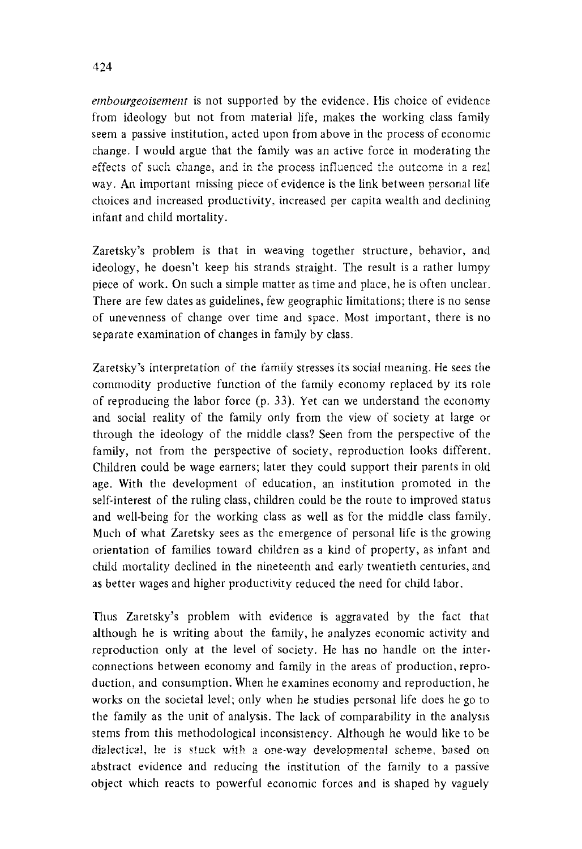*embourgeoisement* is not supported by the evidence. His choice of evidence from ideology but not from material life, makes the working class family seem a passive institution, acted upon from above in the process of economic change. I would argue that the family was an active force in moderating the effects of such change, and in the process influenced the outcome in a real way. An important missing piece of evidence is the link between personal life choices and increased productivity, increased per capita wealth and declining infant and child mortality.

Zaretsky's problem is that in weaving together structure, behavior, and ideology, he doesn't keep his strands straight. The result is a rather lumpy piece of work. On such a simple matter as time and place, he is often unclear, There are few dates as guidelines, few geographic limitations; there is no sense of unevenness of change over time and space. Most important, there is no separate examination of changes in family by class.

Zaretsky's interpretation of the family stresses its social meaning. He sees the commodity productive function of the family economy replaced by its role of reproducing the labor force (p. 33). Yet can we understand the economy and social reality of the family only from the view of society at large or through the ideology of the middle class? Seen from the perspective of the family, not from the perspective of society, reproduction looks different. Children could be wage earners; later they could support their parents in old age. With the development of education, an institution promoted in the self-interest of the ruling class, children could be the route to improved status and well-being for the working class as well as for the middle class family. Much of what Zaretsky sees as the emergence of personal life is the growing orientation of families toward children as a kind of property, as infant and child mortality declined in the nineteenth and early twentieth centuries, and as better wages and higher productivity reduced the need for child labor,

Thus Zaretsky's problem with evidence is aggravated by the fact that although he is writing about the family, he analyzes economic activity and reproduction only at the level of society. He has no handle on the interconnections between economy and family in the areas of production, reproduction, and consumption. When he examines economy and reproduction, he works on the societal level; only when he studies personal life does he go to the family as the unit of analysis. The lack of comparability in the analysis stems from this methodological inconsistency. Although he would like to be dialectical, he is stuck with a one-way developmental scheme, based on abstract evidence and reducing the institution of the family to a passive object which reacts to powerful economic forces and is shaped by vaguely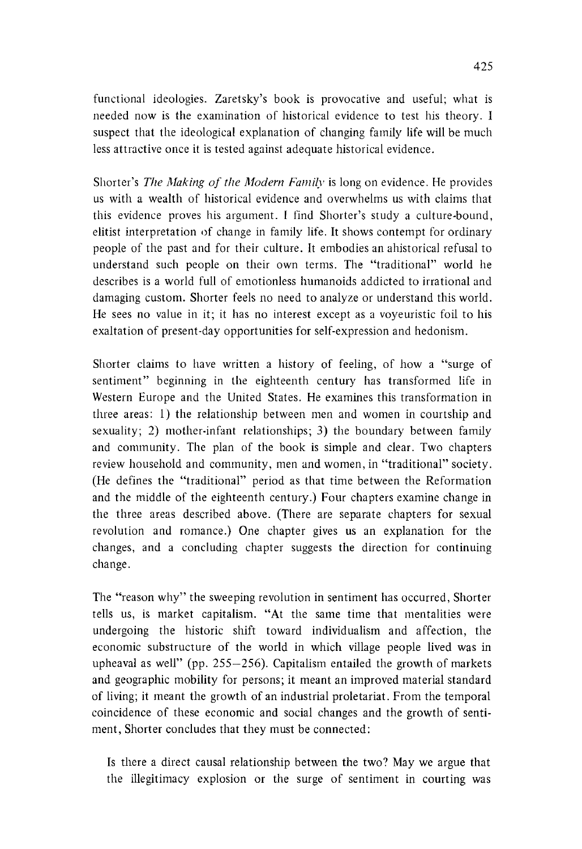functional ideologies. Zaretsky's book is provocative and useful; what is needed now is the examination of historical evidence to test his theory. I suspect that the ideological explanation of changing family life will be much less attractive once it is tested against adequate historical evidence.

Shorter's *The Making of the Modern Family* is long on evidence. He provides us with a wealth of historical evidence and overwhelms us with claims that this evidence proves his argument. I find Shorter's study a culture-bound, elitist interpretation of change in family life. It shows contempt for ordinary people of the past and for their culture. It embodies an ahistorical refusal to understand such people on their own terms. The "traditional" world he describes is a world full of emotionless humanoids addicted to irrational and damaging custom. Shorter feels no need to analyze or understand this world. He sees no value in it; it has no interest except as a voyeuristic foil to his exaltation of present-day opportunities for self-expression and hedonism.

Shorter claims to have written a history of feeling, of how a "surge of sentiment" beginning in the eighteenth century has transformed life in Western Europe and the United States. He examines this transformation in three areas: 1) the relationship between men and women in courtship and sexuality; 2) mother-infant relationships; 3) the boundary between family and community. The plan of the book is simple and clear. Two chapters review household and community, men and women, in "traditional" society. (He defines the "traditional" period as that time between the Reformation and the middle of the eighteenth century.) Four chapters examine change in the three areas described above. (There are separate chapters for sexual revolution and romance.) One chapter gives us an explanation for the changes, and a concluding chapter suggests the direction for continuing change.

The "reason why" the sweeping revolution in sentiment has occurred, Shorter tells us, is market capitalism. "At the same time that mentalities were undergoing the historic shift toward individualism and affection, the economic substructure of the world in which village people lived was in upheaval as well" (pp. *255-256).* Capitalism entailed the growth of markets and geographic mobility for persons; it meant an improved material standard of living; it meant the growth of an industrial proletariat. From the temporal coincidence of these economic and social changes and the growth of sentiment, Shorter concludes that they must be connected:

Is there a direct causal relationship between the two? May we argue that the illegitimacy explosion or the surge of sentiment in courting was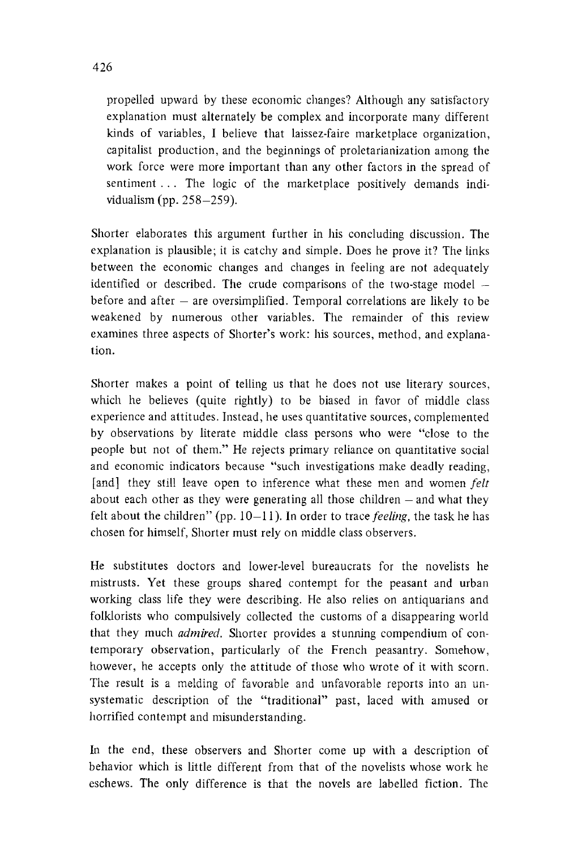propelled upward by these economic changes? Although any satisfactory explanation must alternately be complex and incorporate many different kinds of variables, I believe that laissez-faire marketplace organization, capitalist production, and the beginnings of proletarianization among the work force were more important than any other factors in the spread of sentiment... The logic of the marketplace positively demands individualism (pp. 258-259).

Shorter elaborates this argument further in his concluding discussion. The explanation is plausible; it is catchy and simple. Does he prove it? The links between the economic changes and changes in feeling are not adequately identified or described. The crude comparisons of the two-stage model  $$ before and after  $-$  are oversimplified. Temporal correlations are likely to be weakened by numerous other variables. The remainder of this review examines three aspects of Shorter's work: his sources, method, and explanation.

Shorter makes a point of telling us that he does not use literary sources, which he believes (quite rightly) to be biased in favor of middle class experience and attitudes. Instead, he uses quantitative sources, complemented by observations by literate middle class persons who were "close to the people but not of them." He rejects primary reliance on quantitative social and economic indicators because "such investigations make deadly reading, [and] they still leave open to inference what these men and women *felt* about each other as they were generating all those children  $-$  and what they felt about the children" (pp. 10-11). In order to trace *feeling,* the task he has chosen for himself, Shorter must rely on middle class observers.

He substitutes doctors and lower-level bureaucrats for the novelists he mistrusts. Yet these groups shared contempt for the peasant and urban working class life they were describing. He also relies on antiquarians and folklorists who compulsively collected the customs of a disappearing world that they much *admired.* Shorter provides a stunning compendium of contemporary observation, particularly of the French peasantry. Somehow, however, he accepts only the attitude of those who wrote of it with scorn. The result is a melding of favorable and unfavorable reports into an unsystematic description of the "traditional" past, laced with amused or horrified contempt and misunderstanding.

In the end, these observers and Shorter come up with a description of behavior which is little different from that of the novelists whose work he eschews. The only difference is that the novels are labelled fiction. The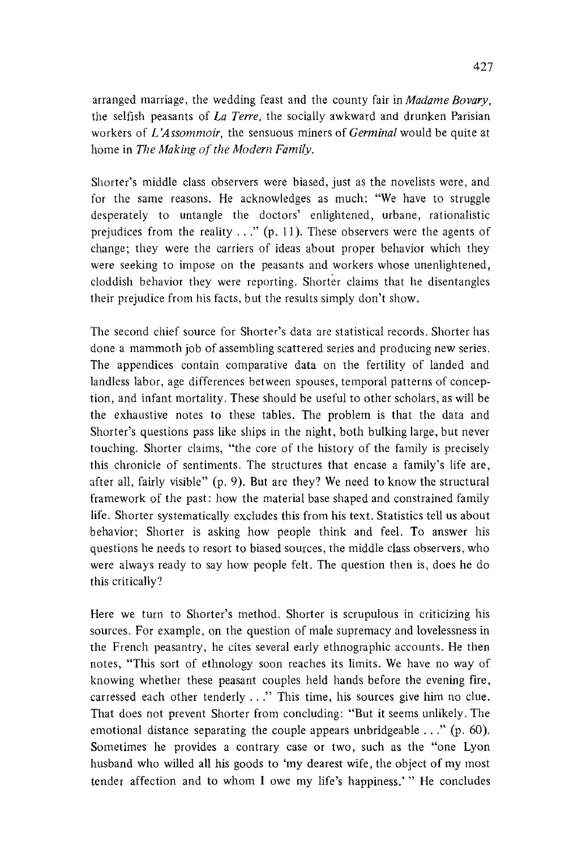arranged marriage, the wedding feast and the county fair in *Madame Bovary,*  the selfish peasants of *La Terre*, the socially awkward and drunken Parisian workers of *L'Assommoir,* the sensuous miners *of Germinal* would be quite at home in *The Making of the Modern Family.* 

Shorter's middle class observers were biased, just as the novelists were, and for the same reasons. He acknowledges as much: "We have to struggle desperately to untangle the doctors' enlightened, urbane, rationalistic prejudices from the reality  $\ldots$ " (p. 11). These observers were the agents of change; they were the carriers of ideas about proper behavior which they were seeking to impose on the peasants and workers whose unenlightened, cloddish behavior they were reporting. Shorter claims that he disentangles their prejudice from his facts, but the results simply don't show.

The second chief source for Shorter's data are statistical records. Shorter has done a mammoth job of assembling scattered series and producing new series. The appendices contain comparative data on the fertility of landed and landless labor, age differences between spouses, temporal patterns of conception, and infant mortality. These should be useful to other scholars, as will be the exhaustive notes to these tables. The problem is that the data and Shorter's questions pass like ships in the night, both bulking large, but never touching. Shorter claims, "the core of the history of the family is precisely this chronicle of sentiments. The structures that encase a family's life are, after all, fairly visible" (p. 9). But are they? We need to know the structural framework of the past: how the material base shaped and constrained family life. Shorter systematically excludes this from his text. Statistics tell us about behavior; Shorter is asking how people think and feel. To answer his questions he needs to resort to biased sources, the middle class observers, who were always ready to say how people felt. The question then is, does he do this critically?

Here we turn to Shorter's method. Shorter is scrupulous in criticizing his sources. For example, on the question of male supremacy and lovelessness in the French peasantry, he cites several early ethnographic accounts. He then notes, "This sort of ethnology soon reaches its limits. We have no way of knowing whether these peasant couples held hands before the evening fire, carressed each other tenderly ..." This time, his sources give him no clue. That does not prevent Shorter from concluding: "But it seems unlikely. The emotional distance separating the couple appears unbridgeable ..." (p. 60). Sometimes he provides a contrary case or two, such as the "one Lyon husband who willed all his goods to 'my dearest wife, the object of my most tender affection and to whom I owe my life's happiness.' " He concludes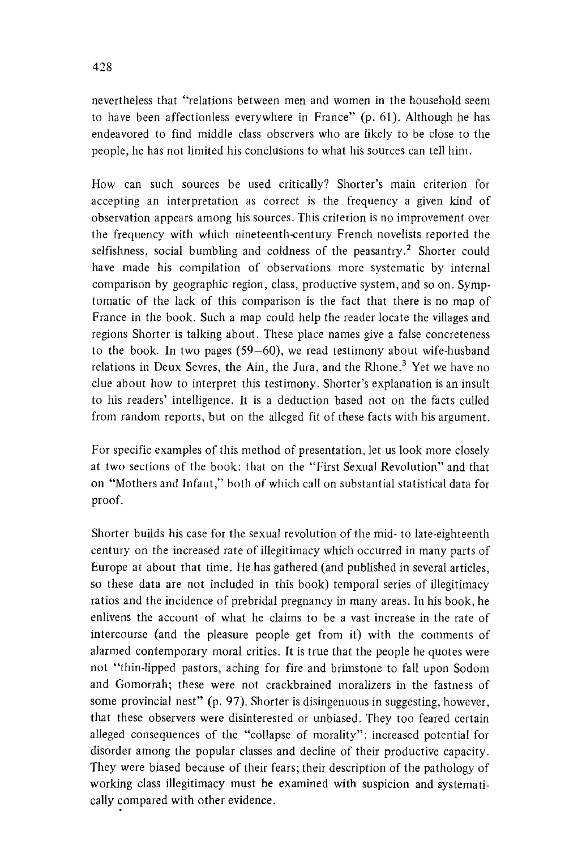nevertheless that "relations between men and women in the household seem to have been affectionless everywhere in France" (p. 61). Although he has endeavored to find middle class observers who are likely to be close to the people, he has not limited his conclusions to what his sources can tell him.

How can such sources be used critically? Shorter's main criterion for accepting an interpretation as correct is the frequency a given kind of observation appears among his sources. This criterion is no improvement over the frequency with which nineteenth-century French novelists reported the selfishness, social bumbling and coldness of the peasantry.<sup>2</sup> Shorter could have made his compilation of observations more systematic by internal comparison by geographic region, class, productive system, and so on. Symptomatic of the lack of this comparison is the fact that there is no map of France in the book. Such a map could help the reader locate the villages and regions Shorter is talking about. These place names give a false concreteness to the book. In two pages (59-60), we read testimony about wife-husband relations in Deux Sevres, the Ain, the Jura, and the Rhone.<sup>3</sup> Yet we have no clue about how to interpret this testimony. Shorter's explanation is an insult to his readers' intelligence. It is a deduction based not on the facts culled from random reports, but on the alleged fit of these facts with his argument.

For specific examples of this method of presentation, let us look more closely at two sections of the book: that on the "First Sexual Revolution" and that on "Mothers and Infant," both of which call on substantial statistical data for proof.

Shorter builds his case for the sexual revolution of the mid- to late-eighteenth century on the increased rate of illegitimacy which occurred in many parts of Europe at about that time. He has gathered (and published in several articles, so these data are not included in this book) temporal series of illegitimacy ratios and the incidence of prebridal pregnancy in many areas. In his book, he enlivens the account of what he claims to be a vast increase in the rate of intercourse (and the pleasure people get from it) with the comments of alarmed contemporary moral critics. It is true that the people he quotes were not "thin-lipped pastors, aching for fire and brimstone to fall upon Sodom and Gomorrah; these were not crackbrained moralizers in the fastness of some provincial nest" (p. 97). Shorter is disingenuous in suggesting, however, that these observers were disinterested or unbiased. They too feared certain alleged consequences of the "collapse of morality": increased potential for disorder among the popular classes and decline of their productive capacity. They were biased because of their fears; their description of the pathology of working class illegitimacy must be examined with suspicion and systematically compared with other evidence.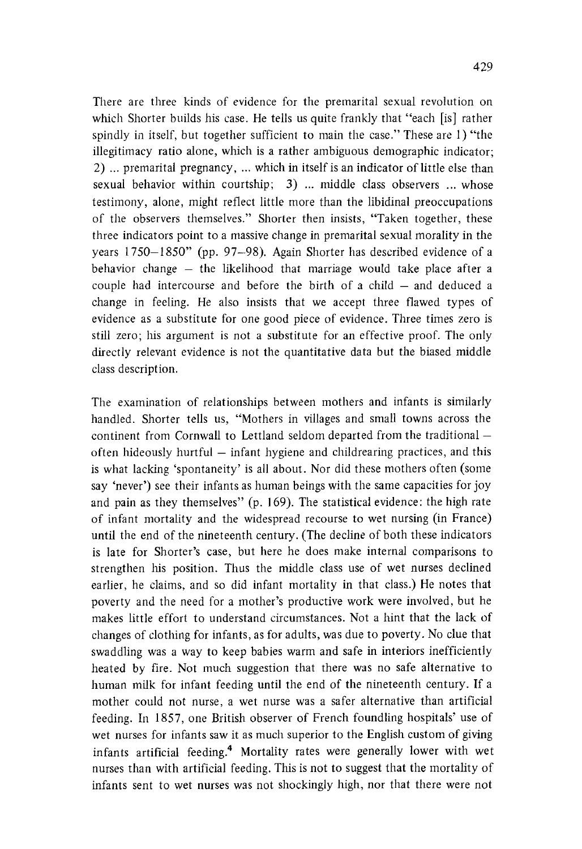There are three kinds of evidence for the premarital sexual revolution on which Shorter builds his case. He tells us quite frankly that "each [is] rather spindly in itself, but together sufficient to main the case." These are 1) "the illegitimacy ratio alone, which is a rather ambiguous demographic indicator; 2) ... premarital pregnancy, ... which in itself is an indicator of little else than sexual behavior within courtship; 3) ... middle class observers ... whose testimony, alone, might reflect little more than the libidinal preoccupations of the observers themselves." Shorter then insists, "Taken together, these three indicators point to a massive change in premarital sexual morality in the years 1750-1850" (pp. 97-98). Again Shorter has described evidence of a behavior change  $-$  the likelihood that marriage would take place after a couple had intercourse and before the birth of a child  $-$  and deduced a change in feeling. He also insists that we accept three flawed types of evidence as a substitute for one good piece of evidence. Three times zero is still zero; his argument is not a substitute for an effective proof. The only directly relevant evidence is not the quantitative data but the biased middle class description.

The examination of relationships between mothers and infants is similarly handled. Shorter tells us, "Mothers in villages and small towns across the continent from Cornwall to Lettland seldom departed from the traditional often hideously hurtful  $-$  infant hygiene and childrearing practices, and this is what lacking 'spontaneity' is all about. Nor did these mothers often (some say 'never') see their infants as human beings with the same capacities for joy and pain as they themselves" (p. 169). The statistical evidence: the high rate of infant mortality and the widespread recourse to wet nursing (in France) until the end of the nineteenth century. (The decline of both these indicators is late for Shorter's case, but here he does make internal comparisons to strengthen his position. Thus the middle class use of wet nurses declined earlier, he claims, and so did infant mortality in that class.) He notes that poverty and the need for a mother's productive work were involved, but he makes little effort to understand circumstances. Not a hint that the lack of changes of clothing for infants, as for adults, was due to poverty. No clue that swaddling was a way to keep babies warm and safe in interiors inefficiently heated by fire. Not much suggestion that there was no safe alternative to human milk for infant feeding until the end of the nineteenth century. If a mother could not nurse, a wet nurse was a safer alternative than artificial feeding. In 1857, one British observer of French foundling hospitals' use of wet nurses for infants saw it as much superior to the English custom of giving infants artificial feeding.<sup>4</sup> Mortality rates were generally lower with wet nurses than with artificial feeding. This is not to suggest that the mortality of infants sent to wet nurses was not shockingly high, nor that there were not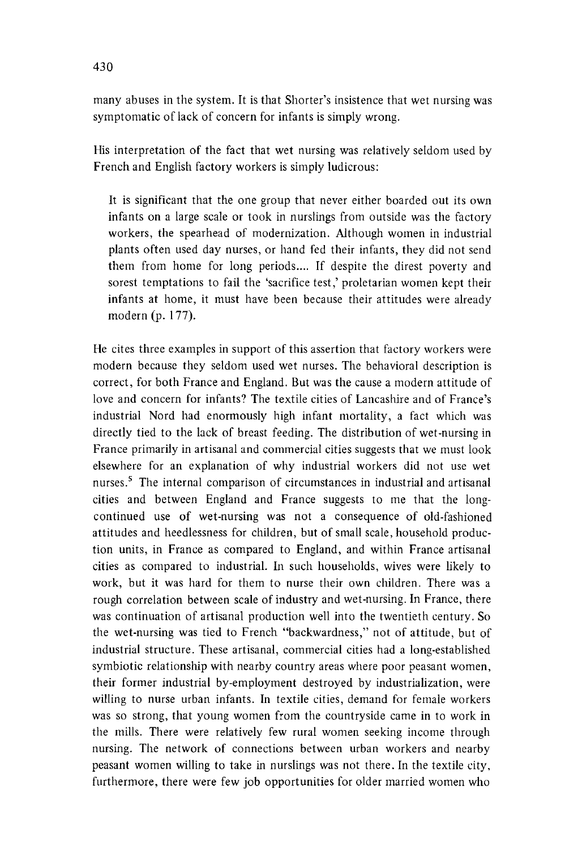many abuses in the system. It is that Shorter's insistence that wet nursing was symptomatic of lack of concern for infants is simply wrong.

His interpretation of the fact that wet nursing was relatively seldom used by French and English factory workers is simply ludicrous:

It is significant that the one group that never either boarded out its own infants on a large scale or took in nurslings from outside was the factory workers, the spearhead of modernization. Although women in industrial plants often used day nurses, or hand fed their infants, they did not send them from home for long periods.... If despite the direst poverty and sorest temptations to fail the 'sacrifice test,' proletarian women kept their infants at home, it must have been because their attitudes were already modern (p. 177).

He cites three examples in support of this assertion that factory workers were modern because they seldom used wet nurses. The behavioral description is correct, for both France and England. But was the cause a modern attitude of love and concern for infants? The textile cities of Lancashire and of France's industrial Nord had enormously high infant mortality, a fact which was directly tied to the lack of breast feeding. The distribution of wet-nursing in France primarily in artisanal and commercial cities suggests that we must look elsewhere for an explanation of why industrial workers did not use wet nurses.<sup>5</sup> The internal comparison of circumstances in industrial and artisanal cities and between England and France suggests to me that the longcontinued use of wet-nursing was not a consequence of old-fashioned attitudes and heedlessness for children, but of small scale, household production units, in France as compared to England, and within France artisanal cities as compared to industrial. In such households, wives were likely to work, but it was hard for them to nurse their own children. There was a rough correlation between scale of industry and wet-nursing. In France, there was continuation of artisanal production well into the twentieth century. So the wet-nursing was tied to French "backwardness," not of attitude, but of industrial structure. These artisanal, commercial cities had a long-established symbiotic relationship with nearby country areas where poor peasant women, their former industrial by-employment destroyed by industrialization, were willing to nurse urban infants. In textile cities, demand for female workers was so strong, that young women from the countryside came in to work in the mills. There were relatively few rural women seeking income through nursing. The network of connections between urban workers and nearby peasant women willing to take in nurslings was not there. In the textile city, furthermore, there were few job opportunities for older married women who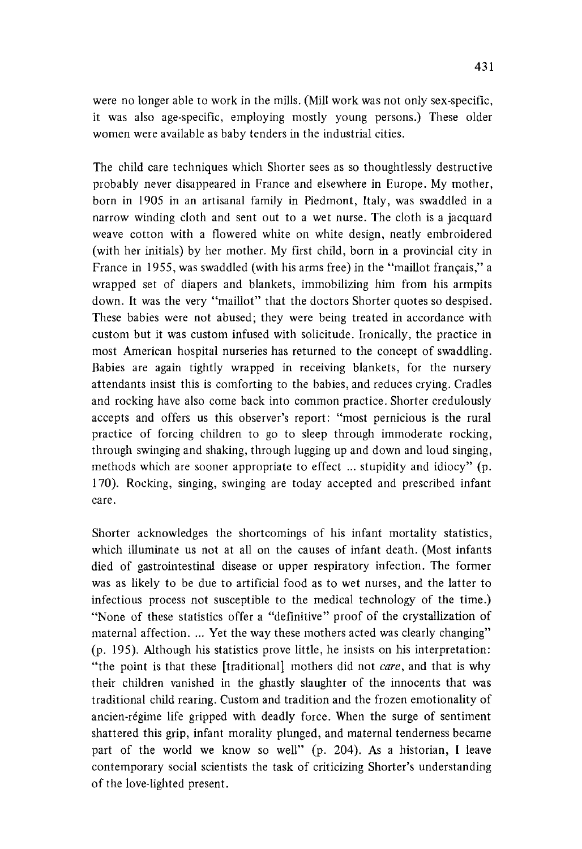were no longer able to work in the mills. (Mill work was not only sex-specific, it was also age-specific, employing mostly young persons.) These older women were available as baby tenders in the industrial cities.

The child care techniques which Shorter sees as so thoughtlessly destructive probably never disappeared in France and elsewhere in Europe. My mother, born in 1905 in an artisanal family in Piedmont, Italy, was swaddled in a narrow winding cloth and sent out to a wet nurse. The cloth is a jacquard weave cotton with a flowered white on white design, neatly embroidered (with her initials) by her mother. My first child, born in a provincial city in France in 1955, was swaddled (with his arms free) in the "maillot français," a wrapped set of diapers and blankets, immobilizing him from his armpits down. It was the very "maillot" that the doctors Shorter quotes so despised. These babies were not abused; they were being treated in accordance with custom but it was custom infused with solicitude. Ironically, the practice in most American hospital nurseries has returned to the concept of swaddling. Babies are again tightly wrapped in receiving blankets, for the nursery attendants insist this is comforting to the babies, and reduces crying. Cradles and rocking have also come back into common practice. Shorter credulously accepts and offers us this observer's report: "most pernicious is the rural practice of forcing children to go to sleep through immoderate rocking, through swinging and shaking, through lugging up and down and loud singing, methods which are sooner appropriate to effect ... stupidity and idiocy" (p. 170). Rocking, singing, swinging are today accepted and prescribed infant care.

Shorter acknowledges the shortcomings of his infant mortality statistics, which illuminate us not at all on the causes of infant death. (Most infants died of gastrointestinal disease or upper respiratory infection. The former was as likely to be due to artificial food as to wet nurses, and the latter to infectious process not susceptible to the medical technology of the time.) "None of these statistics offer a "definitive" proof of the crystallization of maternal affection. ... Yet the way these mothers acted was clearly changing" (p. 195). Although his statistics prove little, he insists on his interpretation: "the point is that these [traditional] mothers did not *care,* and that is why their children vanished in the ghastly slaughter of the innocents that was traditional child rearing. Custom and tradition and the frozen emotionality of ancien-régime life gripped with deadly force. When the surge of sentiment shattered this grip, infant morality plunged, and maternal tenderness became part of the world we know so well" (p. 204). As a historian, I leave contemporary social scientists the task of criticizing Shorter's understanding of the love-lighted present.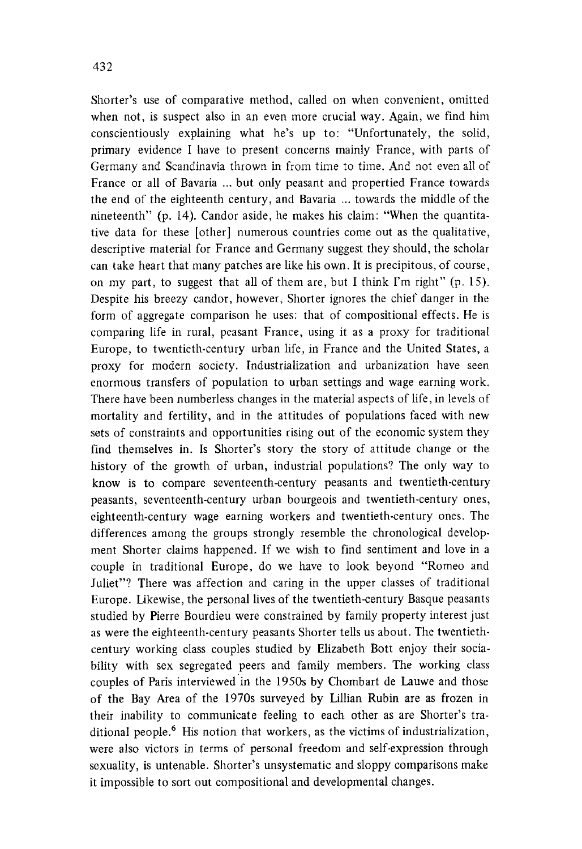Shorter's use of comparative method, called on when convenient, omitted when not, is suspect also in an even more crucial way. Again, we find him conscientiously explaining what he's up to: "Unfortunately, the solid, primary evidence I have to present concerns mainly France, with parts of Germany and Scandinavia thrown in from time to time. And not even all of France or all of Bavaria ... but only peasant and propertied France towards the end of the eighteenth century, and Bavaria ... towards the middle of the nineteenth" (p. 14). Candor aside, he makes his claim: "When the quantitative data for these [other] numerous countries come out as the qualitative, descriptive material for France and Germany suggest they should, the scholar can take heart that many patches are like his own. It is precipitous, of course, on my part, to suggest that all of them are, but I think I'm right" (p. 15). Despite his breezy candor, however, Shorter ignores the chief danger in the form of aggregate comparison he uses: that of compositional effects. He is comparing life in rural, peasant France, using it as a proxy for traditional Europe, to twentieth-century urban life, in France and the United States, a proxy for modern society. Industrialization and urbanization have seen enormous transfers of population to urban settings and wage earning work. There have been numberless changes in the material aspects of life, in levels of mortality and fertility, and in the attitudes of populations faced with new sets of constraints and opportunities rising out of the economic system they find themselves in. Is Shorter's story the story of attitude change or the history of the growth of urban, industrial populations? The only way to know is to compare seventeenth-century peasants and twentieth-century peasants, seventeenth-century urban bourgeois and twentieth-century ones, eighteenth-century wage earning workers and twentieth-century ones. The differences among the groups strongly resemble the chronological development Shorter claims happened. If we wish to find sentiment and love in a couple in traditional Europe, do we have to look beyond "Romeo and Juliet"? There was affection and caring in the upper classes of traditional Europe. Likewise, the personal lives of the twentieth-century Basque peasants studied by Pierre Bourdieu were constrained by family property interest just as were the eighteenth-century peasants Shorter tells us about. The twentiethcentury working class couples studied by Elizabeth Bott enjoy their sociability with sex segregated peers and family members. The working class couples of Paris interviewed in the 1950s by Chombart de Lauwe and those of the Bay Area of the 1970s surveyed by Lillian Rubin are as frozen in their inability to communicate feeling to each other as are Shorter's traditional people.<sup>6</sup> His notion that workers, as the victims of industrialization, were also victors in terms of personal freedom and self-expression through sexuality, is untenable. Shorter's unsystematic and sloppy comparisons make it impossible to sort out compositional and developmental changes.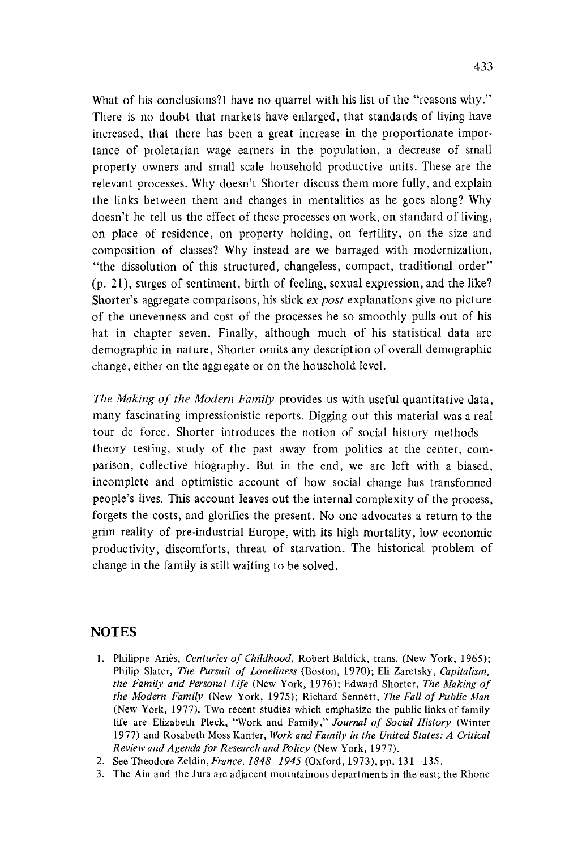What of his conclusions?I have no quarrel with his list of the "reasons why." There is no doubt that markets have enlarged, that standards of living have increased, that there has been a great increase in the proportionate importance of proletarian wage earners in the population, a decrease of small property owners and small scale household productive units. These are the relevant processes. Why doesn't Shorter discuss them more fully, and explain the links between them and changes in mentalities as he goes along? Why doesn't he tell us the effect of these processes on work, on standard of living, on place of residence, on property holding, on fertility, on the size and composition of classes? Why instead are we barraged with modernization, "the dissolution of this structured, changeless, compact, traditional order" (p. 21), surges of sentiment, birth of feeling, sexual expression, and the like? Shorter's aggregate comparisons, his slick *ex post* explanations give no picture of the unevenness and cost of the processes he so smoothly pulls out of his hat in chapter seven. Finally, although much of his statistical data are demographic in nature, Shorter omits any description of overall demographic change, either on the aggregate or on the household level.

*The Making of the Modern Family* provides us with useful quantitative data, many fascinating impressionistic reports. Digging out this material was a real tour de force. Shorter introduces the notion of social history methods  $$ theory testing, study of the past away from politics at the center, comparison, collective biography. But in the end, we are left with a biased, incomplete and optimistic account of how social change has transformed people's lives. This account leaves out the internal complexity of the process, forgets the costs, and glorifies the present. No one advocates a return to the grim reality of pre-industrial Europe, with its high mortality, low economic productivity, discomforts, threat of starvation. The historical problem of change in the family is still waiting to be solved.

## **NOTES**

- 1. Philippe Ariès, *Centuries of Childhood*, Robert Baldick, trans. (New York, 1965); Philip Slater, *The Pursuit of Loneliness* (Boston, 1970); Eli Zaretsky, *Capitalism, the Family and Personal Life* (New York, 1976); Edward Shorter, *The Making of the Modern Family* (New York, 1975); Richard Sennett, *The Fall of Public Man*  (New York, 1977). Two recent studies which emphasize the public links of family life are Elizabeth Pleck, "Work and Family," *Journal of Social History* (Winter 1977) and Rosabeth Moss Kanter, *Work and Family in the United States: A Critical Review and Agenda for Research and Policy* (New York, 1977).
- 2. See Theodore *Zeldin, France, 1848-1945* (Oxford, 1973), pp. 131-135.
- 3. The Ain and the Jura are adjacent mountainous departments in the east; the Rhone